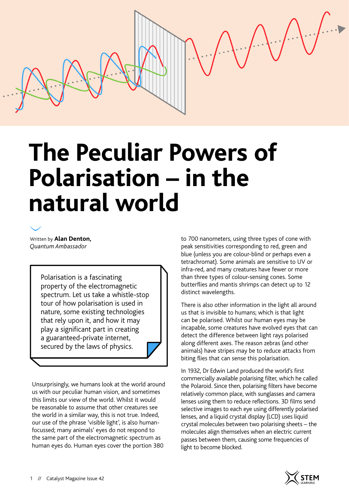# **The Peculiar Powers of Polarisation – in the natural world**

Written by **Alan Denton,**  *Quantum Ambassador*

> Polarisation is a fascinating property of the electromagnetic spectrum. Let us take a whistle-stop tour of how polarisation is used in nature, some existing technologies that rely upon it, and how it may play a significant part in creating a guaranteed-private internet, secured by the laws of physics.

Unsurprisingly, we humans look at the world around us with our peculiar human vision, and sometimes this limits our view of the world. Whilst it would be reasonable to assume that other creatures see the world in a similar way, this is not true. Indeed, our use of the phrase 'visible light', is also humanfocussed; many animals' eyes do not respond to the same part of the electromagnetic spectrum as human eyes do. Human eyes cover the portion 380

to 700 nanometers, using three types of cone with peak sensitivities corresponding to red, green and blue (unless you are colour-blind or perhaps even a tetrachromat). Some animals are sensitive to UV or infra-red, and many creatures have fewer or more than three types of colour-sensing cones. Some butterflies and mantis shrimps can detect up to 12 distinct wavelengths.

There is also other information in the light all around us that is invisible to humans; which is that light can be polarised. Whilst our human eyes may be incapable, some creatures have evolved eyes that can detect the difference between light rays polarised along different axes. The reason zebras (and other animals) have stripes may be to reduce attacks from biting flies that can sense this polarisation.

In 1932, Dr Edwin Land produced the world's first commercially available polarising filter, which he called the Polaroid. Since then, polarising filters have become relatively common place, with sunglasses and camera lenses using them to reduce reflections. 3D films send selective images to each eye using differently polarised lenses, and a liquid crystal display (LCD) uses liquid crystal molecules between two polarising sheets – the molecules align themselves when an electric current passes between them, causing some frequencies of light to become blocked.

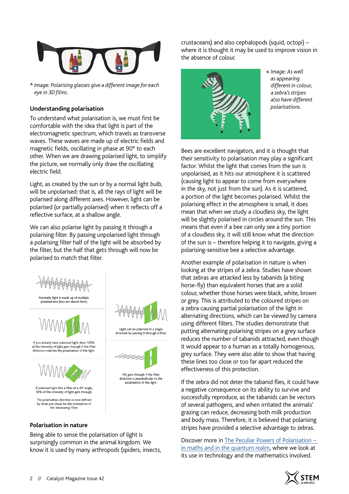

**^** *Image: Polarising glasses give a different image for each eye in 3D films.*

#### **Understanding polarisation**

To understand what polarisation is, we must first be comfortable with the idea that light is part of the electromagnetic spectrum, which travels as transverse waves. These waves are made up of electric fields and magnetic fields, oscillating in phase at 90° to each other. When we are drawing polarised light, to simplify the picture, we normally only draw the oscillating electric field.

Light, as created by the sun or by a normal light bulb, will be unpolarised: that is, all the rays of light will be polarised along different axes. However, light can be polarised (or partially polarised) when it reflects off a reflective surface, at a shallow angle.

We can also polarise light by passing it through a polarising filter. By passing unpolarised light through a polarising filter half of the light will be absorbed by the filter, but the half that gets through will now be polarised to match that filter.



Being able to sense the polarisation of light is surprisingly common in the animal kingdom. We know it is used by many arthropods (spiders, insects,

crustaceans) and also cephalopods (squid, octopi) – where it is thought it may be used to improve vision in the absence of colour.



**<** *Image: As well as appearing different in colour, a zebra's stripes also have different polarisations.*

Bees are excellent navigators, and it is thought that their sensitivity to polarisation may play a significant factor. Whilst the light that comes from the sun is unpolarised, as it hits our atmosphere it is scattered (causing light to appear to come from everywhere in the sky, not just from the sun). As it is scattered, a portion of the light becomes polarised. Whilst the polarising effect in the atmosphere is small, it does mean that when we study a cloudless sky, the light will be slightly polarised in circles around the sun. This means that even if a bee can only see a tiny portion of a cloudless sky, it will still know what the direction of the sun is – therefore helping it to navigate, giving a polarising-sensitive bee a selective advantage.

Another example of polarisation in nature is when looking at the stripes of a zebra. Studies have shown that zebras are attacked less by tabanids (a biting horse-fly) than equivalent horses that are a solid colour, whether those horses were black, white, brown or grey. This is attributed to the coloured stripes on a zebra causing partial polarisation of the light in alternating directions, which can be viewed by camera using different filters. The studies demonstrate that putting alternating polarising stripes on a grey surface reduces the number of tabanids attracted, even though it would appear to a human as a totally homogenous, grey surface. They were also able to show that having these lines too close or too far apart reduced the effectiveness of this protection.

If the zebra did not deter the tabanid flies, it could have a negative consequence on its ability to survive and successfully reproduce, as the tabanids can be vectors of several pathogens, and when irritated the animals' grazing can reduce, decreasing both milk production and body mass. Therefore, it is believed that polarising stripes have provided a selective advantage to zebras.

Discover more in [The Peculiar Powers of Polarisation –](https://catmagdev.wpengine.com/?post_type=articles&p=8199&preview=true)  [in maths and in the quantum realm](https://catmagdev.wpengine.com/?post_type=articles&p=8199&preview=true), where we look at its use in technology and the mathematics involved.